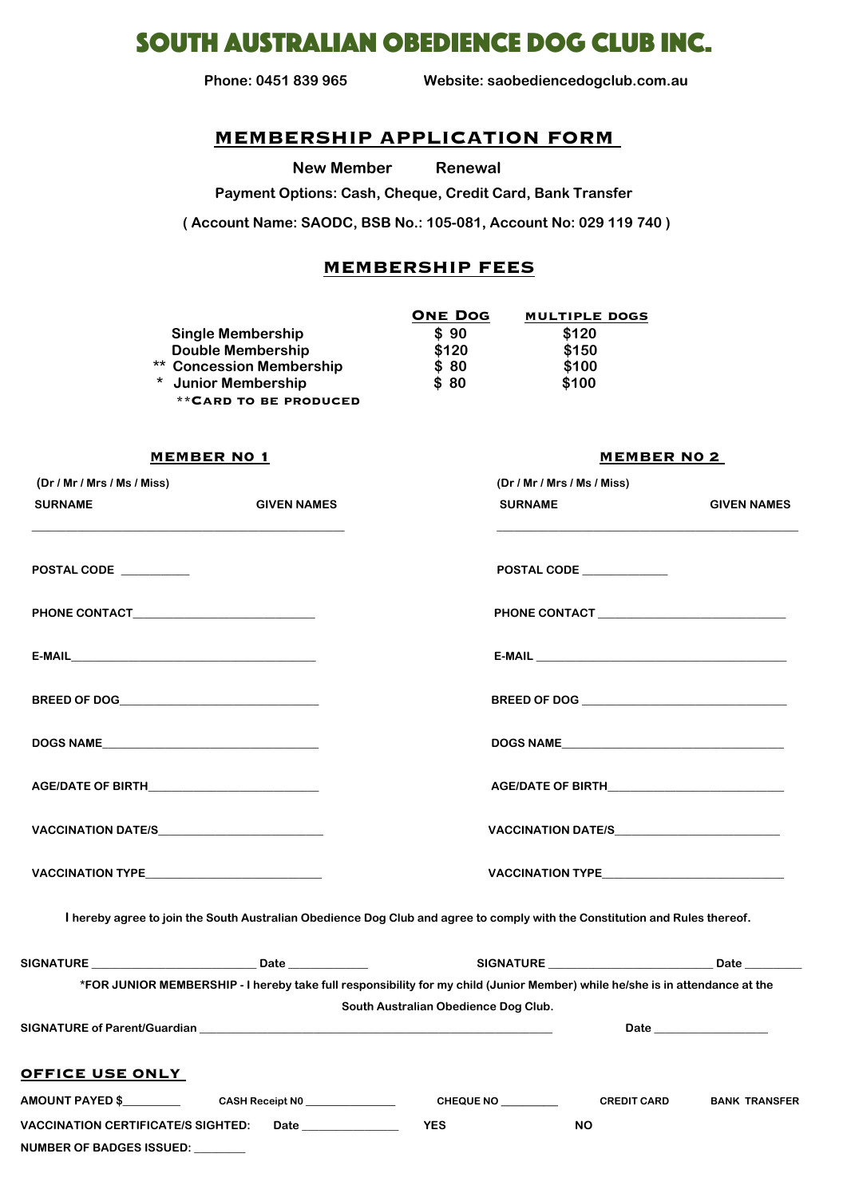# south australian obedience dog club inc.

 **Phone: 0451 839 965 Website: saobediencedogclub.com.au**

# **MEMBERSHIP APPLICATION FORM**

**New Member Renewal** 

 **Payment Options: Cash, Cheque, Credit Card, Bank Transfer** 

**( Account Name: SAODC, BSB No.: 105-081, Account No: 029 119 740 )**

# **MEMBERSHIP FEES**

|                                 | <b>ONE DOG</b> | <b>MULTIPLE DOGS</b> |
|---------------------------------|----------------|----------------------|
| <b>Single Membership</b>        | \$90           | \$120                |
| <b>Double Membership</b>        | \$120          | \$150                |
| <b>** Concession Membership</b> | \$80           | \$100                |
| * Junior Membership             | \$80           | \$100                |
| <b>**CARD TO BE PRODUCED</b>    |                |                      |

### **MEMBER N0 1 MEMBER N0 2**

| (Dr / Mr / Mrs / Ms / Miss) |                                                                                                                              | (Dr / Mr / Mrs / Ms / Miss)                                                                   |                    |                      |
|-----------------------------|------------------------------------------------------------------------------------------------------------------------------|-----------------------------------------------------------------------------------------------|--------------------|----------------------|
| <b>SURNAME</b>              | <b>GIVEN NAMES</b>                                                                                                           | <b>SURNAME</b>                                                                                |                    | <b>GIVEN NAMES</b>   |
| POSTAL CODE                 |                                                                                                                              | POSTAL CODE                                                                                   |                    |                      |
|                             |                                                                                                                              | PHONE CONTACT ________________________________                                                |                    |                      |
|                             |                                                                                                                              |                                                                                               |                    |                      |
|                             |                                                                                                                              |                                                                                               |                    |                      |
|                             |                                                                                                                              |                                                                                               |                    |                      |
|                             | AGE/DATE OF BIRTH____________________________                                                                                |                                                                                               |                    |                      |
|                             | VACCINATION DATE/S__________________________                                                                                 | VACCINATION DATE/S____________________________                                                |                    |                      |
|                             | VACCINATION TYPE______________________________                                                                               | VACCINATION TYPE <b>And Container the Contract of the Contract of Type Contract of Type A</b> |                    |                      |
|                             | I hereby agree to join the South Australian Obedience Dog Club and agree to comply with the Constitution and Rules thereof.  |                                                                                               |                    |                      |
|                             |                                                                                                                              |                                                                                               |                    |                      |
|                             | *FOR JUNIOR MEMBERSHIP - I hereby take full responsibility for my child (Junior Member) while he/she is in attendance at the |                                                                                               |                    |                      |
|                             |                                                                                                                              | South Australian Obedience Dog Club.                                                          |                    |                      |
|                             |                                                                                                                              |                                                                                               |                    |                      |
| <b>OFFICE USE ONLY</b>      |                                                                                                                              |                                                                                               |                    |                      |
| AMOUNT PAYED \$             | CASH Receipt N0 _______________                                                                                              | CHEQUE NO _________                                                                           | <b>CREDIT CARD</b> | <b>BANK TRANSFER</b> |

**VACCINATION CERTIFICATE/S SIGHTED: Date \_\_\_\_\_\_\_\_\_\_\_\_\_\_\_\_\_ YES NO** 

**NUMBER OF BADGES ISSUED: \_\_\_\_\_\_\_\_\_**